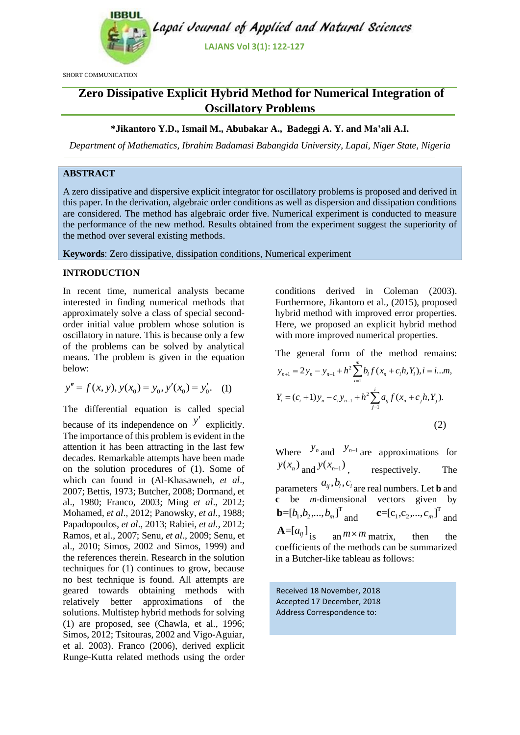

SHORT COMMUNICATION

# **Zero Dissipative Explicit Hybrid Method for Numerical Integration of Oscillatory Problems**

# **\*Jikantoro Y.D., Ismail M., Abubakar A., Badeggi A. Y. and Ma'ali A.I.**

*Department of Mathematics, Ibrahim Badamasi Babangida University, Lapai, Niger State, Nigeria*

# **ABSTRACT**

A zero dissipative and dispersive explicit integrator for oscillatory problems is proposed and derived in this paper. In the derivation, algebraic order conditions as well as dispersion and dissipation conditions are considered. The method has algebraic order five. Numerical experiment is conducted to measure the performance of the new method. Results obtained from the experiment suggest the superiority of the method over several existing methods.

**Keywords**: Zero dissipative, dissipation conditions, Numerical experiment

### **INTRODUCTION**

In recent time, numerical analysts became interested in finding numerical methods that approximately solve a class of special secondorder initial value problem whose solution is oscillatory in nature. This is because only a few of the problems can be solved by analytical means. The problem is given in the equation below:

$$
y'' = f(x, y), y(x_0) = y_0, y'(x_0) = y'_0.
$$
 (1)

The differential equation is called special because of its independence on  $y'$  explicitly. The importance of this problem is evident in the attention it has been attracting in the last few decades. Remarkable attempts have been made on the solution procedures of (1). Some of which can found in (Al-Khasawneh, *et al*., 2007; Bettis, 1973; Butcher, 2008; Dormand, et al., 1980; Franco, 2003; Ming *et al*., 2012; Mohamed, *et al*., 2012; Panowsky, *et al.,* 1988; Papadopoulos, *et al*., 2013; Rabiei, *et al.,* 2012; Ramos, et al., 2007; Senu*, et al*., 2009; Senu, et al., 2010; Simos, 2002 and Simos, 1999) and the references therein. Research in the solution techniques for (1) continues to grow, because no best technique is found. All attempts are geared towards obtaining methods with relatively better approximations of the solutions. Multistep hybrid methods for solving (1) are proposed, see (Chawla, et al., 1996; Simos, 2012; Tsitouras, 2002 and Vigo-Aguiar, et al. 2003). Franco (2006), derived explicit Runge-Kutta related methods using the order

conditions derived in Coleman (2003). Furthermore, Jikantoro et al., (2015), proposed hybrid method with improved error properties. Here, we proposed an explicit hybrid method with more improved numerical properties.

The general form of the method remains:<br>  $y_{n+1} = 2y_n - y_{n-1} + h^2 \sum_{i=1}^{m} b_i f(x_n + c_i h, Y_i), i = i...m,$ *m*

$$
y_{n+1} = 2y_n - y_{n-1} + h^2 \sum_{i=1}^{m} b_i f(x_n + c_i h, Y_i), i = i...m,
$$
  

$$
Y_i = (c_i + 1)y_n - c_i y_{n-1} + h^2 \sum_{j=1}^{i} a_{ij} f(x_n + c_j h, Y_j).
$$
  
(2)

Where  $y_n$  and  $y_{n-1}$  are approximations for  $y(x_n)$  and  $y(x_{n-1})$ , respectively. The parameters  $a_{ij}$ ,  $b_i$ ,  $c_i$  are real numbers. Let **b** and **c** be *m*-dimensional vectors given by **b**= $[b_1, b_2, ..., b_m]^T$  and  $\mathbf{c} = [c_1, c_2, ..., c_m]^T$  and  $A = [a_{ij}]$ <sub>is an</sub>  $m \times m$  matrix, then the coefficients of the methods can be summarized in a Butcher-like tableau as follows:

Received 18 November, 2018 Accepted 17 December, 2018 Address Correspondence to: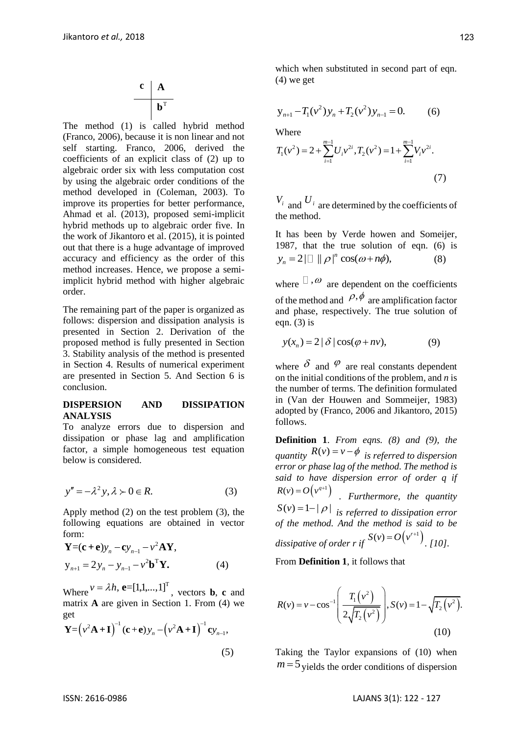$$
\begin{array}{c|c}\n\mathbf{c} & \mathbf{A} \\
\hline\n\mathbf{b}^T\n\end{array}
$$

The method (1) is called hybrid method (Franco, 2006), because it is non linear and not self starting. Franco, 2006, derived the coefficients of an explicit class of (2) up to algebraic order six with less computation cost by using the algebraic order conditions of the method developed in (Coleman, 2003). To improve its properties for better performance, Ahmad et al. (2013), proposed semi-implicit hybrid methods up to algebraic order five. In the work of Jikantoro et al. (2015), it is pointed out that there is a huge advantage of improved accuracy and efficiency as the order of this method increases. Hence, we propose a semiimplicit hybrid method with higher algebraic order.

The remaining part of the paper is organized as follows: dispersion and dissipation analysis is presented in Section 2. Derivation of the proposed method is fully presented in Section 3. Stability analysis of the method is presented in Section 4. Results of numerical experiment are presented in Section 5. And Section 6 is conclusion.

## **DISPERSION AND DISSIPATION ANALYSIS**

To analyze errors due to dispersion and dissipation or phase lag and amplification factor, a simple homogeneous test equation below is considered.

$$
y'' = -\lambda^2 y, \lambda \succ 0 \in R. \tag{3}
$$

Apply method (2) on the test problem (3), the following equations are obtained in vector form:

$$
\mathbf{Y} = (\mathbf{c} + \mathbf{e})y_n - \mathbf{c}y_{n-1} - v^2 \mathbf{A} \mathbf{Y},
$$
  
\n
$$
y_{n+1} = 2y_n - y_{n-1} - v^2 \mathbf{b}^T \mathbf{Y}.
$$
 (4)

Where  $v = \lambda h$ ,  $\mathbf{e} = \begin{bmatrix} 1, 1, ..., 1 \end{bmatrix}^T$ , vectors **b**, **c** and matrix **A** are given in Section 1. From (4) we get  $^{-1}$  (z + z) =  $(-24 \cdot \mathbf{I})^{-1}$  z

get  
\n
$$
\mathbf{Y} = (\nu^2 \mathbf{A} + \mathbf{I})^{-1} (\mathbf{c} + \mathbf{e}) y_n - (\nu^2 \mathbf{A} + \mathbf{I})^{-1} \mathbf{c} y_{n-1},
$$
\n(5)

which when substituted in second part of eqn. (4) we get

$$
y_{n+1} - T_1(v^2)y_n + T_2(v^2)y_{n-1} = 0.
$$
 (6)

Where

Where  
\n
$$
T_1(v^2) = 2 + \sum_{i=1}^{m-1} U_i v^{2i}, T_2(v^2) = 1 + \sum_{i=1}^{m-1} V_i v^{2i}.
$$
\n(7)

 $V_i$  and  $U_i$  are determined by the coefficients of the method.

It has been by Verde howen and Someijer, 1987, that the true solution of eqn. (6) is  $y_n = 2|\Box| |\rho|^n \cos(\omega+n\phi),$ (8)

where  $\Box$ ,  $\omega$  are dependent on the coefficients of the method and  $\rho, \phi$  are amplification factor and phase, respectively. The true solution of eqn.  $(3)$  is

$$
y(x_n) = 2 |\delta| \cos(\varphi + nv), \tag{9}
$$

where  $\delta$  and  $\varphi$  are real constants dependent on the initial conditions of the problem, and *n* is the number of terms. The definition formulated in (Van der Houwen and Sommeijer, 1983) adopted by (Franco, 2006 and Jikantoro, 2015) follows.

**Definition 1**. *From eqns. (8) and (9), the quantity*  $R(v) = v - \phi$  *is referred to dispersion error or phase lag of the method. The method is said to have dispersion error of order q if*  $R(v) = O(v^{q+1})$ *. Furthermore, the quantity*   $S(v) = 1 - |\rho|$  *is referred to dissipation error of the method. And the method is said to be*  dissipative of order r if  $S(v) = O(v^{r+1})$ . [10].

From **Definition 1**, it follows that

$$
R(v) = v - \cos^{-1}\left(\frac{T_1(v^2)}{2\sqrt{T_2(v^2)}}\right), S(v) = 1 - \sqrt{T_2(v^2)}.
$$
\n(10)

Taking the Taylor expansions of (10) when  $m = 5$  yields the order conditions of dispersion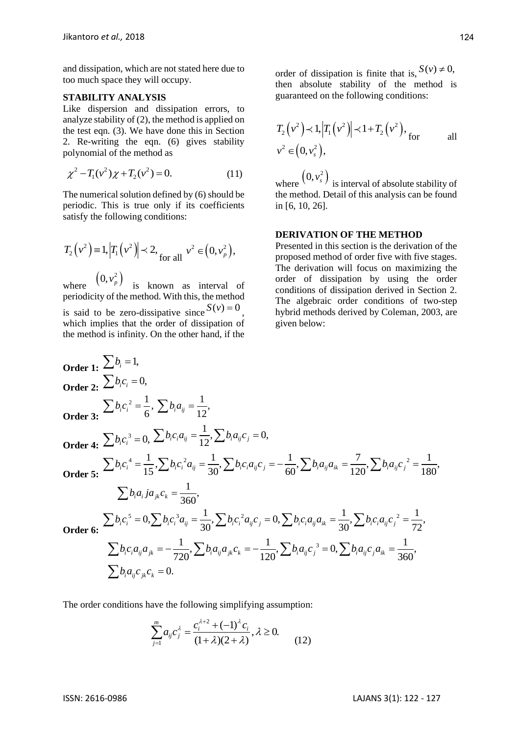and dissipation, which are not stated here due to too much space they will occupy.

#### **STABILITY ANALYSIS**

Like dispersion and dissipation errors, to analyze stability of (2), the method is applied on the test eqn. (3). We have done this in Section 2. Re-writing the eqn. (6) gives stability polynomial of the method as

$$
\chi^2 - T_1(v^2)\chi + T_2(v^2) = 0.
$$
 (11)

The numerical solution defined by (6) should be periodic. This is true only if its coefficients satisfy the following conditions:

$$
T_2(v^2) \equiv 1, |T_1(v^2)| \prec 2, \text{ for all } v^2 \in (0, v_p^2),
$$

where  $(0, v_p^2)$  is known as interval of periodicity of the method. With this, the method is said to be zero-dissipative since  $S(v) = 0$ , which implies that the order of dissipation of the method is infinity. On the other hand, if the

order of dissipation is finite that is,  $S(v) \neq 0$ , then absolute stability of the method is guaranteed on the following conditions:

$$
T_2(\nu^2) \prec 1, |T_1(\nu^2)| \prec 1 + T_2(\nu^2),
$$
 for all  

$$
\nu^2 \in (0, \nu_s^2),
$$

where  $(0, v_s^2)$  is interval of absolute stability of the method. Detail of this analysis can be found in [6, 10, 26].

### **DERIVATION OF THE METHOD**

Presented in this section is the derivation of the proposed method of order five with five stages. The derivation will focus on maximizing the order of dissipation by using the order conditions of dissipation derived in Section 2. The algebraic order conditions of two-step hybrid methods derived by Coleman, 2003, are given below:

Order 1: 
$$
\sum b_i = 1
$$
,  
\nOrder 2:  $\sum b_i c_i = 0$ ,  
\nOrder 3:  $\sum b_i c_i^2 = \frac{1}{6}$ ,  $\sum b_i a_{ij} = \frac{1}{12}$ ,  
\nOrder 4:  $\sum b_i c_i^3 = 0$ ,  $\sum b_i c_i a_{ij} = \frac{1}{12}$ ,  $\sum b_i a_{ij} c_j = 0$ ,  
\nOrder 5:  $\sum b_i c_i^4 = \frac{1}{15}$ ,  $\sum b_i c_i^2 a_{ij} = \frac{1}{30}$ ,  $\sum b_i c_i a_{ij} c_j = -\frac{1}{60}$ ,  $\sum b_i a_{ij} a_{ik} = \frac{7}{120}$ ,  $\sum b_i a_{ij} c_j^2 = \frac{1}{180}$ ,  
\n $\sum b_i a_i ja_{jk} c_k = \frac{1}{360}$ ,  
\nOrder 6:  $\sum b_i c_i^5 = 0$ ,  $\sum b_i c_i^3 a_{ij} = \frac{1}{30}$ ,  $\sum b_i c_i^2 a_{ij} c_j = 0$ ,  $\sum b_i c_i a_{ij} a_{ik} = \frac{1}{30}$ ,  $\sum b_i c_i a_{ij} c_j^2 = \frac{1}{72}$ ,  
\n $\sum b_i c_i a_{ij} a_{jk} = -\frac{1}{720}$ ,  $\sum b_i a_{ij} a_{jk} c_k = -\frac{1}{120}$ ,  $\sum b_i a_{ij} c_j^3 = 0$ ,  $\sum b_i a_{ij} c_j a_{ik} = \frac{1}{360}$ ,  
\n $\sum b_i a_{ij} c_{jk} c_k = 0$ .

The order conditions have the following simplifying assumption:

$$
\sum_{j=1}^{m} a_{ij} c_j^{\lambda} = \frac{c_i^{\lambda+2} + (-1)^{\lambda} c_i}{(1+\lambda)(2+\lambda)}, \lambda \ge 0.
$$
 (12)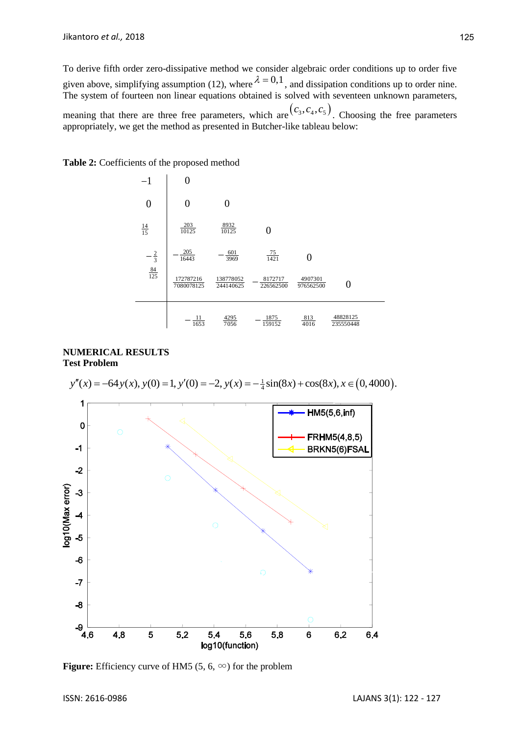To derive fifth order zero-dissipative method we consider algebraic order conditions up to order five given above, simplifying assumption (12), where  $\lambda = 0.1$ , and dissipation conditions up to order nine. The system of fourteen non linear equations obtained is solved with seventeen unknown parameters, meaning that there are three free parameters, which are  $(c_3, c_4, c_5)$ . Choosing the free parameters appropriately, we get the method as presented in Butcher-like tableau below:



**Table 2:** Coefficients of the proposed method

# **NUMERICAL RESULTS Test Problem**

**UMERICAL RESULTS**<br> **est Problem**<br>  $y''(x) = -64y(x), y(0) = 1, y'(0) = -2, y(x) = -\frac{1}{4}\sin(8x) + \cos(8x), x \in (0,4000).$ 1 HM5(5,6,inf)  $\mathbf 0$  $\overline{C}$ FRHM5(4,8,5)  $-1$ BRKN5(6)FSAL  $-2$  $\circ$ og10(Max error)  $-3$  $-4$  $\subset$ -5 -6  $\bigcirc$  $-7$  $-8$ -9 ,<br>4.6 4.8 5  $5.2$ 5.4 5.6 5.8 6 6.2 6.4 log10(function)

**Figure:** Efficiency curve of HM5 (5, 6,  $\infty$ ) for the problem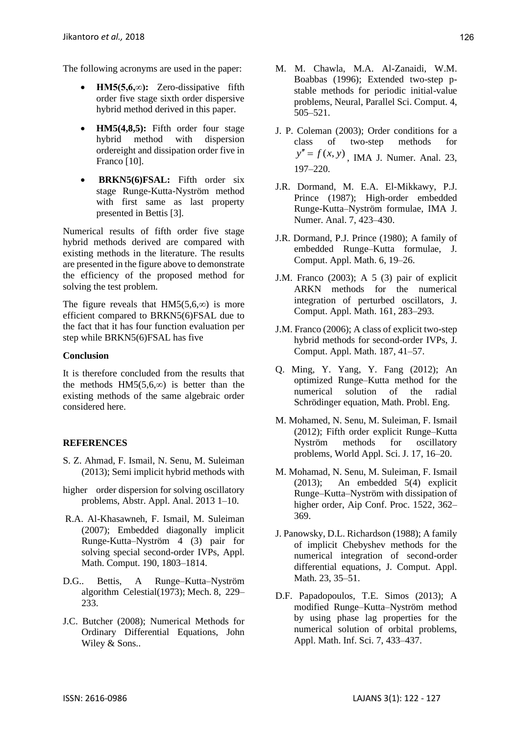The following acronyms are used in the paper:

- **HM5(5,6,∞):** Zero-dissipative fifth order five stage sixth order dispersive hybrid method derived in this paper.
- **HM5(4,8,5):** Fifth order four stage hybrid method with dispersion ordereight and dissipation order five in Franco [10].
- **BRKN5(6)FSAL:** Fifth order six stage Runge-Kutta-Nyström method with first same as last property presented in Bettis [3].

Numerical results of fifth order five stage hybrid methods derived are compared with existing methods in the literature. The results are presented in the figure above to demonstrate the efficiency of the proposed method for solving the test problem.

The figure reveals that HM5(5,6, $\infty$ ) is more efficient compared to BRKN5(6)FSAL due to the fact that it has four function evaluation per step while BRKN5(6)FSAL has five

# **Conclusion**

It is therefore concluded from the results that the methods HM5(5,6, $\infty$ ) is better than the existing methods of the same algebraic order considered here.

# **REFERENCES**

- S. Z. Ahmad, F. Ismail, N. Senu, M. Suleiman (2013); Semi implicit hybrid methods with
- higher order dispersion for solving oscillatory problems, Abstr. Appl. Anal. 2013 1–10.
- R.A. Al-Khasawneh, F. Ismail, M. Suleiman (2007); Embedded diagonally implicit Runge-Kutta–Nyström 4 (3) pair for solving special second-order IVPs, Appl. Math. Comput. 190, 1803–1814.
- D.G.. Bettis, A Runge–Kutta–Nyström algorithm Celestial(1973); Mech. 8, 229– 233.
- J.C. Butcher (2008); Numerical Methods for Ordinary Differential Equations, John Wiley & Sons..
- M. M. Chawla, M.A. Al-Zanaidi, W.M. Boabbas (1996); Extended two-step pstable methods for periodic initial-value problems, Neural, Parallel Sci. Comput. 4, 505–521.
- J. P. Coleman (2003); Order conditions for a class of two-step methods for  $y'' = f(x, y)$ , IMA J. Numer. Anal. 23, 197–220.
- J.R. Dormand, M. E.A. El-Mikkawy, P.J. Prince (1987); High-order embedded Runge-Kutta–Nyström formulae, IMA J. Numer. Anal. 7, 423–430.
- J.R. Dormand, P.J. Prince (1980); A family of embedded Runge–Kutta formulae, J. Comput. Appl. Math. 6, 19–26.
- J.M. Franco (2003); A 5 (3) pair of explicit ARKN methods for the numerical integration of perturbed oscillators, J. Comput. Appl. Math. 161, 283–293.
- J.M. Franco (2006); A class of explicit two-step hybrid methods for second-order IVPs, J. Comput. Appl. Math. 187, 41–57.
- Q. Ming, Y. Yang, Y. Fang (2012); An optimized Runge–Kutta method for the numerical solution of the radial Schrödinger equation, Math. Probl. Eng.
- M. Mohamed, N. Senu, M. Suleiman, F. Ismail (2012); Fifth order explicit Runge–Kutta Nyström methods for oscillatory problems, World Appl. Sci. J. 17, 16–20.
- M. Mohamad, N. Senu, M. Suleiman, F. Ismail (2013); An embedded 5(4) explicit Runge–Kutta–Nyström with dissipation of higher order, Aip Conf. Proc. 1522, 362– 369.
- J. Panowsky, D.L. Richardson (1988); A family of implicit Chebyshev methods for the numerical integration of second-order differential equations, J. Comput. Appl. Math. 23, 35–51.
- D.F. Papadopoulos, T.E. Simos (2013); A modified Runge–Kutta–Nyström method by using phase lag properties for the numerical solution of orbital problems, Appl. Math. Inf. Sci. 7, 433–437.